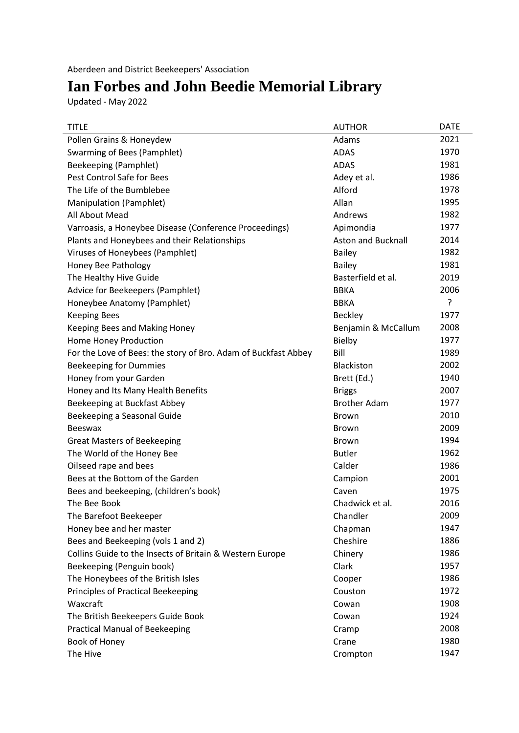## **Ian Forbes and John Beedie Memorial Library**

Updated - May 2022

| <b>TITLE</b>                                                   | <b>AUTHOR</b>             | <b>DATE</b> |
|----------------------------------------------------------------|---------------------------|-------------|
| Pollen Grains & Honeydew                                       | Adams                     | 2021        |
| Swarming of Bees (Pamphlet)                                    | <b>ADAS</b>               | 1970        |
| Beekeeping (Pamphlet)                                          | <b>ADAS</b>               | 1981        |
| Pest Control Safe for Bees                                     | Adey et al.               | 1986        |
| The Life of the Bumblebee                                      | Alford                    | 1978        |
| Manipulation (Pamphlet)                                        | Allan                     | 1995        |
| All About Mead                                                 | Andrews                   | 1982        |
| Varroasis, a Honeybee Disease (Conference Proceedings)         | Apimondia                 | 1977        |
| Plants and Honeybees and their Relationships                   | <b>Aston and Bucknall</b> | 2014        |
| Viruses of Honeybees (Pamphlet)                                | <b>Bailey</b>             | 1982        |
| Honey Bee Pathology                                            | <b>Bailey</b>             | 1981        |
| The Healthy Hive Guide                                         | Basterfield et al.        | 2019        |
| Advice for Beekeepers (Pamphlet)                               | <b>BBKA</b>               | 2006        |
| Honeybee Anatomy (Pamphlet)                                    | <b>BBKA</b>               | ?           |
| <b>Keeping Bees</b>                                            | <b>Beckley</b>            | 1977        |
| Keeping Bees and Making Honey                                  | Benjamin & McCallum       | 2008        |
| Home Honey Production                                          | Bielby                    | 1977        |
| For the Love of Bees: the story of Bro. Adam of Buckfast Abbey | Bill                      | 1989        |
| <b>Beekeeping for Dummies</b>                                  | <b>Blackiston</b>         | 2002        |
| Honey from your Garden                                         | Brett (Ed.)               | 1940        |
| Honey and Its Many Health Benefits                             | <b>Briggs</b>             | 2007        |
| Beekeeping at Buckfast Abbey                                   | <b>Brother Adam</b>       | 1977        |
| Beekeeping a Seasonal Guide                                    | <b>Brown</b>              | 2010        |
| <b>Beeswax</b>                                                 | <b>Brown</b>              | 2009        |
| <b>Great Masters of Beekeeping</b>                             | Brown                     | 1994        |
| The World of the Honey Bee                                     | <b>Butler</b>             | 1962        |
| Oilseed rape and bees                                          | Calder                    | 1986        |
| Bees at the Bottom of the Garden                               | Campion                   | 2001        |
| Bees and beekeeping, (children's book)                         | Caven                     | 1975        |
| The Bee Book                                                   | Chadwick et al.           | 2016        |
| The Barefoot Beekeeper                                         | Chandler                  | 2009        |
| Honey bee and her master                                       | Chapman                   | 1947        |
| Bees and Beekeeping (vols 1 and 2)                             | Cheshire                  | 1886        |
| Collins Guide to the Insects of Britain & Western Europe       | Chinery                   | 1986        |
| Beekeeping (Penguin book)                                      | Clark                     | 1957        |
| The Honeybees of the British Isles                             | Cooper                    | 1986        |
| <b>Principles of Practical Beekeeping</b>                      | Couston                   | 1972        |
| Waxcraft                                                       | Cowan                     | 1908        |
| The British Beekeepers Guide Book                              | Cowan                     | 1924        |
| <b>Practical Manual of Beekeeping</b>                          | Cramp                     | 2008        |
| Book of Honey                                                  | Crane                     | 1980        |
| The Hive                                                       | Crompton                  | 1947        |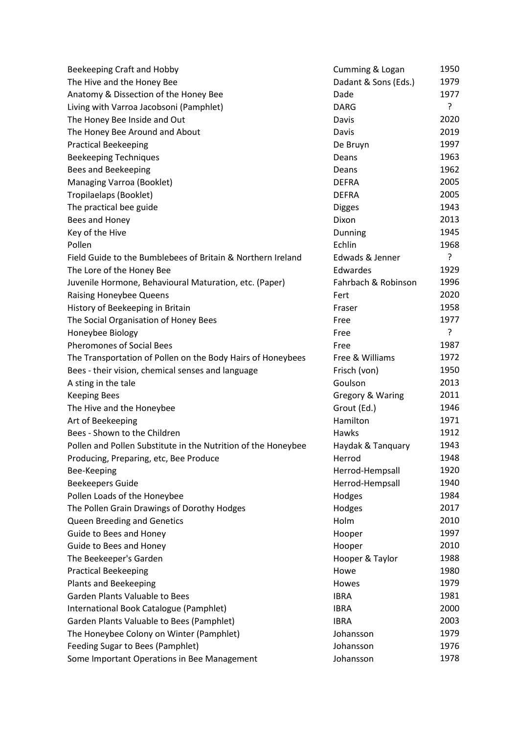| Beekeeping Craft and Hobby                                    | Cumming & Logan      | 1950 |
|---------------------------------------------------------------|----------------------|------|
| The Hive and the Honey Bee                                    | Dadant & Sons (Eds.) | 1979 |
| Anatomy & Dissection of the Honey Bee                         | Dade                 | 1977 |
| Living with Varroa Jacobsoni (Pamphlet)                       | <b>DARG</b>          | ?    |
| The Honey Bee Inside and Out                                  | Davis                | 2020 |
| The Honey Bee Around and About                                | Davis                | 2019 |
| <b>Practical Beekeeping</b>                                   | De Bruyn             | 1997 |
| <b>Beekeeping Techniques</b>                                  | Deans                | 1963 |
| Bees and Beekeeping                                           | Deans                | 1962 |
| Managing Varroa (Booklet)                                     | <b>DEFRA</b>         | 2005 |
| Tropilaelaps (Booklet)                                        | <b>DEFRA</b>         | 2005 |
| The practical bee guide                                       | <b>Digges</b>        | 1943 |
| Bees and Honey                                                | Dixon                | 2013 |
| Key of the Hive                                               | Dunning              | 1945 |
| Pollen                                                        | Echlin               | 1968 |
| Field Guide to the Bumblebees of Britain & Northern Ireland   | Edwads & Jenner      | ?    |
| The Lore of the Honey Bee                                     | Edwardes             | 1929 |
| Juvenile Hormone, Behavioural Maturation, etc. (Paper)        | Fahrbach & Robinson  | 1996 |
| <b>Raising Honeybee Queens</b>                                | Fert                 | 2020 |
| History of Beekeeping in Britain                              | Fraser               | 1958 |
| The Social Organisation of Honey Bees                         | Free                 | 1977 |
| Honeybee Biology                                              | Free                 | ?    |
| <b>Pheromones of Social Bees</b>                              | Free                 | 1987 |
| The Transportation of Pollen on the Body Hairs of Honeybees   | Free & Williams      | 1972 |
| Bees - their vision, chemical senses and language             | Frisch (von)         | 1950 |
| A sting in the tale                                           | Goulson              | 2013 |
| <b>Keeping Bees</b>                                           | Gregory & Waring     | 2011 |
| The Hive and the Honeybee                                     | Grout (Ed.)          | 1946 |
| Art of Beekeeping                                             | Hamilton             | 1971 |
| Bees - Shown to the Children                                  | Hawks                | 1912 |
| Pollen and Pollen Substitute in the Nutrition of the Honeybee | Haydak & Tanquary    | 1943 |
| Producing, Preparing, etc, Bee Produce                        | Herrod               | 1948 |
| Bee-Keeping                                                   | Herrod-Hempsall      | 1920 |
| <b>Beekeepers Guide</b>                                       | Herrod-Hempsall      | 1940 |
| Pollen Loads of the Honeybee                                  | Hodges               | 1984 |
| The Pollen Grain Drawings of Dorothy Hodges                   | Hodges               | 2017 |
| Queen Breeding and Genetics                                   | Holm                 | 2010 |
| Guide to Bees and Honey                                       | Hooper               | 1997 |
| Guide to Bees and Honey                                       | Hooper               | 2010 |
| The Beekeeper's Garden                                        | Hooper & Taylor      | 1988 |
| <b>Practical Beekeeping</b>                                   | Howe                 | 1980 |
| Plants and Beekeeping                                         | Howes                | 1979 |
| <b>Garden Plants Valuable to Bees</b>                         | <b>IBRA</b>          | 1981 |
| International Book Catalogue (Pamphlet)                       | <b>IBRA</b>          | 2000 |
| Garden Plants Valuable to Bees (Pamphlet)                     | <b>IBRA</b>          | 2003 |
| The Honeybee Colony on Winter (Pamphlet)                      | Johansson            | 1979 |
| Feeding Sugar to Bees (Pamphlet)                              | Johansson            | 1976 |
| Some Important Operations in Bee Management                   | Johansson            | 1978 |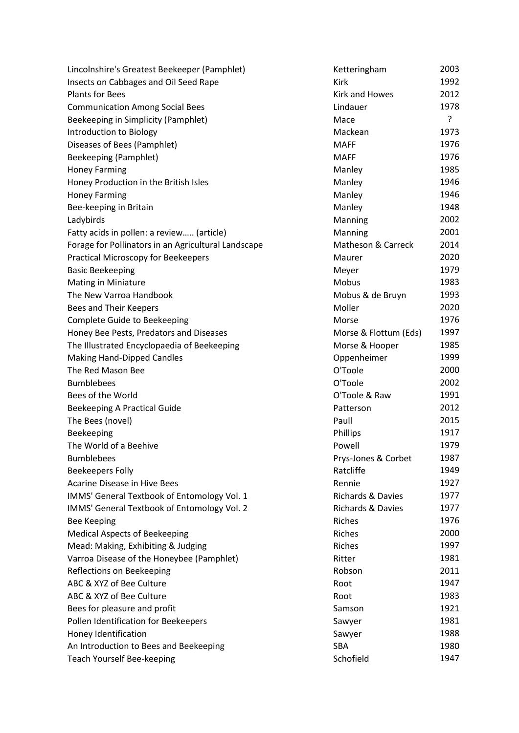| Lincolnshire's Greatest Beekeeper (Pamphlet)        | Ketteringham          | 2003 |
|-----------------------------------------------------|-----------------------|------|
| Insects on Cabbages and Oil Seed Rape               | Kirk                  | 1992 |
| <b>Plants for Bees</b>                              | Kirk and Howes        | 2012 |
| <b>Communication Among Social Bees</b>              | Lindauer              | 1978 |
| Beekeeping in Simplicity (Pamphlet)                 | Mace                  | ?    |
| <b>Introduction to Biology</b>                      | Mackean               | 1973 |
| Diseases of Bees (Pamphlet)                         | <b>MAFF</b>           | 1976 |
| Beekeeping (Pamphlet)                               | <b>MAFF</b>           | 1976 |
| <b>Honey Farming</b>                                | Manley                | 1985 |
| Honey Production in the British Isles               | Manley                | 1946 |
| <b>Honey Farming</b>                                | Manley                | 1946 |
| Bee-keeping in Britain                              | Manley                | 1948 |
| Ladybirds                                           | Manning               | 2002 |
| Fatty acids in pollen: a review (article)           | Manning               | 2001 |
| Forage for Pollinators in an Agricultural Landscape | Matheson & Carreck    | 2014 |
| Practical Microscopy for Beekeepers                 | Maurer                | 2020 |
| <b>Basic Beekeeping</b>                             | Meyer                 | 1979 |
| <b>Mating in Miniature</b>                          | Mobus                 | 1983 |
| The New Varroa Handbook                             | Mobus & de Bruyn      | 1993 |
| Bees and Their Keepers                              | Moller                | 2020 |
| Complete Guide to Beekeeping                        | Morse                 | 1976 |
| Honey Bee Pests, Predators and Diseases             | Morse & Flottum (Eds) | 1997 |
| The Illustrated Encyclopaedia of Beekeeping         | Morse & Hooper        | 1985 |
| <b>Making Hand-Dipped Candles</b>                   | Oppenheimer           | 1999 |
| The Red Mason Bee                                   | O'Toole               | 2000 |
| <b>Bumblebees</b>                                   | O'Toole               | 2002 |
| Bees of the World                                   | O'Toole & Raw         | 1991 |
| <b>Beekeeping A Practical Guide</b>                 | Patterson             | 2012 |
| The Bees (novel)                                    | Paull                 | 2015 |
| Beekeeping                                          | Phillips              | 1917 |
| The World of a Beehive                              | Powell                | 1979 |
| <b>Bumblebees</b>                                   | Prys-Jones & Corbet   | 1987 |
| <b>Beekeepers Folly</b>                             | Ratcliffe             | 1949 |
| Acarine Disease in Hive Bees                        | Rennie                | 1927 |
| IMMS' General Textbook of Entomology Vol. 1         | Richards & Davies     | 1977 |
| IMMS' General Textbook of Entomology Vol. 2         | Richards & Davies     | 1977 |
| <b>Bee Keeping</b>                                  | Riches                | 1976 |
| <b>Medical Aspects of Beekeeping</b>                | Riches                | 2000 |
| Mead: Making, Exhibiting & Judging                  | Riches                | 1997 |
| Varroa Disease of the Honeybee (Pamphlet)           | Ritter                | 1981 |
| Reflections on Beekeeping                           | Robson                | 2011 |
| ABC & XYZ of Bee Culture                            | Root                  | 1947 |
| ABC & XYZ of Bee Culture                            | Root                  | 1983 |
| Bees for pleasure and profit                        | Samson                | 1921 |
| Pollen Identification for Beekeepers                | Sawyer                | 1981 |
| Honey Identification                                | Sawyer                | 1988 |
| An Introduction to Bees and Beekeeping              | SBA                   | 1980 |
| <b>Teach Yourself Bee-keeping</b>                   | Schofield             | 1947 |